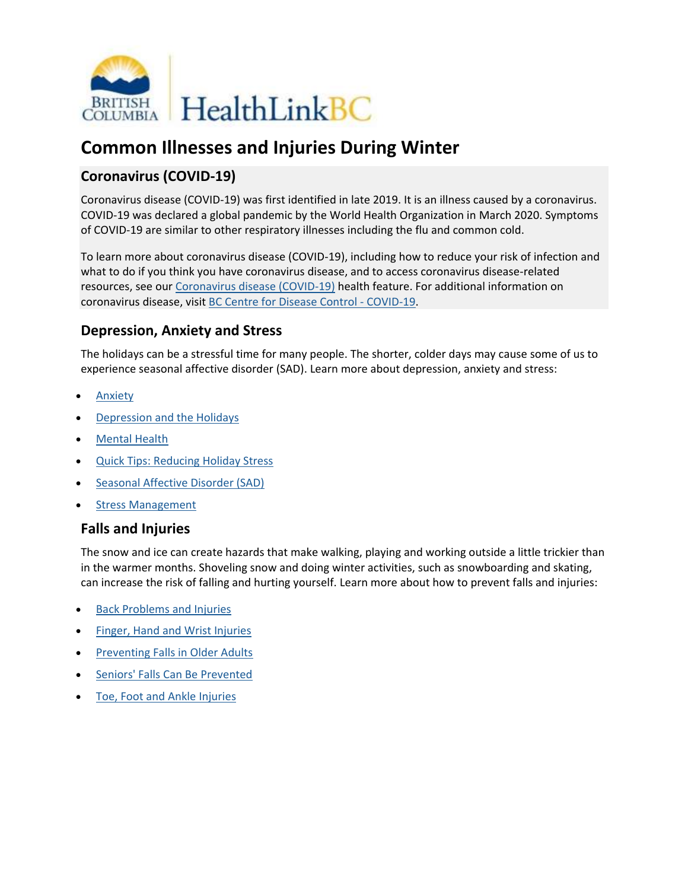

# **Common Illnesses and Injuries During Winter**

## **Coronavirus (COVID-19)**

Coronavirus disease (COVID-19) was first identified in late 2019. It is an illness caused by a coronavirus. COVID-19 was declared a global pandemic by the World Health Organization in March 2020. Symptoms of COVID-19 are similar to other respiratory illnesses including the flu and common cold.

To learn more about coronavirus disease (COVID-19), including how to reduce your risk of infection and what to do if you think you have coronavirus disease, and to access coronavirus disease-related resources, see our [Coronavirus disease \(COVID-19\)](https://www.healthlinkbc.ca/health-feature/coronavirus-disease-covid-19) health feature. For additional information on coronavirus disease, visit [BC Centre for Disease Control -](http://www.bccdc.ca/health-info/diseases-conditions/covid-19) COVID-19.

### **Depression, Anxiety and Stress**

The holidays can be a stressful time for many people. The shorter, colder days may cause some of us to experience seasonal affective disorder (SAD). Learn more about depression, anxiety and stress:

- [Anxiety](https://www.healthlinkbc.ca/health-topics/anxiety)
- [Depression and the Holidays](https://www.healthlinkbc.ca/health-topics/depression-and-holidays)
- [Mental Health](https://www.healthlinkbc.ca/mental-health-substance-use/mental-health)
- [Quick Tips: Reducing Holiday Stress](https://www.healthlinkbc.ca/health-topics/quick-tips-reducing-holiday-stress)
- [Seasonal Affective Disorder \(SAD\)](https://www.healthlinkbc.ca/health-topics/seasonal-affective-disorder-sad)
- **[Stress Management](https://www.healthlinkbc.ca/health-topics/stress-management)**

### **Falls and Injuries**

The snow and ice can create hazards that make walking, playing and working outside a little trickier than in the warmer months. Shoveling snow and doing winter activities, such as snowboarding and skating, can increase the risk of falling and hurting yourself. Learn more about how to prevent falls and injuries:

- [Back Problems and Injuries](https://www.healthlinkbc.ca/illnesses-conditions/joints-and-spinal-conditions/back-problems-and-injuries)
- [Finger, Hand and Wrist Injuries](https://www.healthlinkbc.ca/illnesses-conditions/injuries/finger-hand-and-wrist-injuries)
- [Preventing Falls in Older Adults](https://www.healthlinkbc.ca/more/aging-well/preventing-falls-older-adults)
- [Seniors' Falls Can Be Prevented](https://www.healthlinkbc.ca/healthlinkbc-files/seniors-falls-can-be-prevented)
- [Toe, Foot and Ankle Injuries](https://www.healthlinkbc.ca/illnesses-conditions/injuries/toe-foot-and-ankle-injuries)